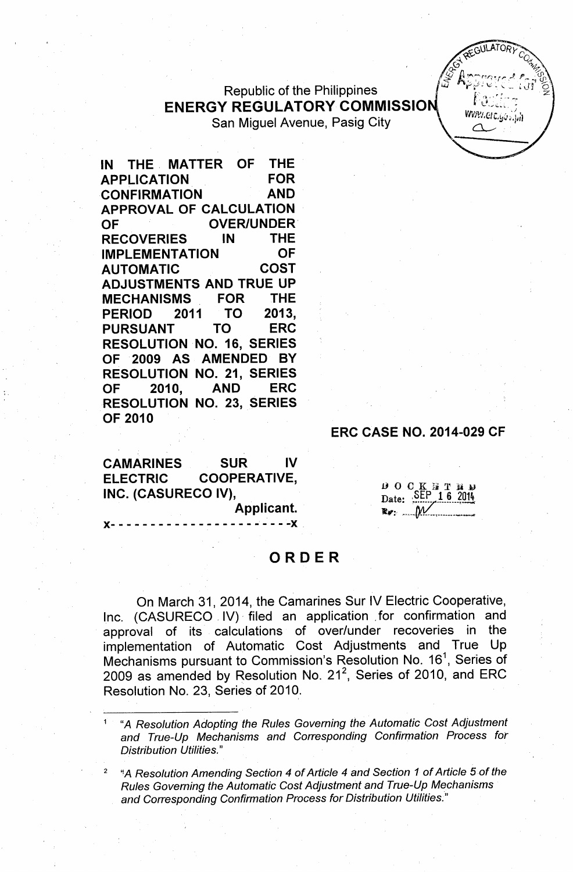# Republic of the Philippines **ENERGY REGULATORY COMMISSION** San Miguel Avenue, Pasig City

IN THE, MATTER OF THE APPLICATION FOR **CONFIRMATION** APPROVAL OF CALCULATION OF **OVER/UNDER** RECOVERIES IN THE IMPLEMENTATION OF AUTOMATIC COST ADJUSTMENTS AND TRUE UP MECHANISMS FOR THE PERIOD 2011 TO 2013, PURSUANT TO ERC RESOLUTION NO. 16, SERIES OF 2009 AS AMENDED BY RESOLUTION NO. 21, SERIES OF 2010, AND ERC RESOLUTION NO. 23, SERIES OF 2010

ERC CASE NO. 2014-029 CF

GULATOR

Www.erc.yó..jn

CAMARINES SUR IV ELECTRIC COOPERATIVE, INC. (CASURECO IV),

)(- - - - - - - - - - - - - - - - - - - - - - -)( .

**DOCKTTHD**<br>Date: SEP 16 2014

# ORDER

Applicant.

On March 31, 2014, the Camarines Sur IV Electric Cooperative, Inc. (CASURECO. IV) filed an application for confirmation and approval of its calculations of over/under recoveries in the implementation of Automatic Cost Adjustments and True Up Mechanisms pursuant to Commission's Resolution No. 16<sup>1</sup>, Series of 2009 as amended by Resolution No. 21<sup>2</sup>, Series of 2010, and ERC Resolution No. 23, Series of 2010.

<sup>1</sup> *"A Resolution Adopting the Rules Governing the Automatic Cost Adjustment and True-Up Mechanisms and Corresponding Confirmation Process for Distribution Utilities.*"

*<sup>2</sup> '!A Resolution Amending Section* 4 *of Article* 4 *and Section* 1 *of Article 50f the Rules Governing the Automatic Cost Adjustment and True-Up Mechanisms and Corresponding Confirmation Process for Distribution Utilities~'11*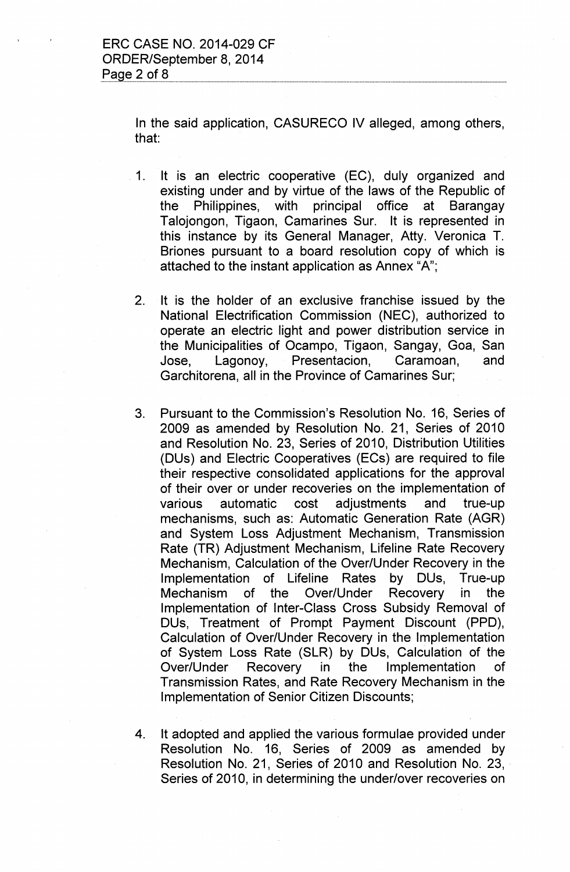In the said application, CASURECO IV alleged, among others, that:

- 1. It is an electric cooperative (EC), duly organized and existing under and by virtue of the laws of the Republic of the Philippines, with principal office at Barangay Talojongon, Tigaon, Camarines Sur. It is represented in this instance by its General Manager, Atty. Veronica T. Briones pursuant to a board resolution copy of which is attached to the instant application as Annex "A";
- 2. It is the holder of an exclusive franchise issued by the National Electrification Commission (NEC), authorized to operate an electric light and power distribution service in the Municipalities of Ocampo, Tigaon, Sangay, Goa, San Jose, Lagonoy, Presentacion, Caramoan, and Garchitorena, all in the Province of Camarines Sur;
- 3. Pursuant to the Commission's Resolution No. 16, Series of 2009 as amended by Resolution No. 21, Series of 2010 and Resolution No. 23, Series of 2010, Distribution Utilities (DUs) and Electric Cooperatives (ECs) are required to file their respective consolidated applications for the approval of their over or under recoveries on the implementation of various automatic cost adjustments and true-up mechanisms, such as: Automatic Generation Rate (AGR) and System Loss Adjustment Mechanism, Transmission Rate (TR) Adjustment Mechanism, Lifeline Rate Recovery Mechanism, Calculation of the Over/Under Recovery in the Implementation of Lifeline Rates by DUs, True-up Mechanism of the Over/Under Recovery in the Implementation of Inter-Class Cross Subsidy Removal of DUs, Treatment of Prompt Payment Discount (PPD), Calculation of Over/Under Recovery in the Implementation of System Loss Rate (SLR) by DUs, Calculation of the Over/Under Recovery in the Implementation of Transmission Rates, and Rate Recovery Mechanism in the Implementation of Senior Citizen Discounts;
- 4. It adopted and applied the various formulae provided under Resolution No. 16, Series of 2009 as amended by Resolution No. 21, Series of 2010 and Resolution No. 23, Series of 2010, in determining the under/over recoveries on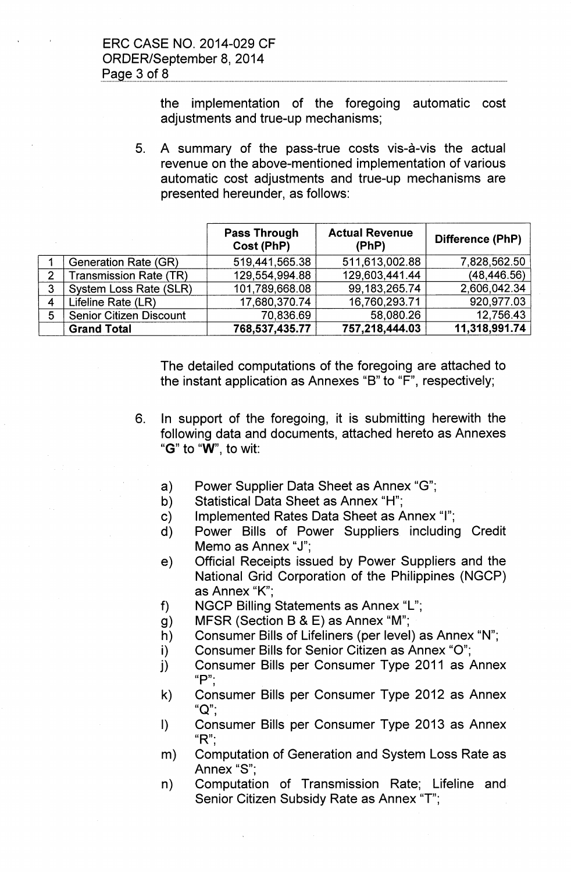the implementation of the foregoing automatic cost adjustments and true-up mechanisms;

5. A summary of the pass-true costs vis-a-vis the actual revenue on the above-mentioned implementation of various automatic cost adjustments and true-up mechanisms are presented hereunder, as follows:

|                |                                | <b>Pass Through</b><br>Cost (PhP) | <b>Actual Revenue</b><br>(PhP) | Difference (PhP) |
|----------------|--------------------------------|-----------------------------------|--------------------------------|------------------|
|                | Generation Rate (GR)           | 519,441,565.38                    | 511,613,002.88                 | 7,828,562.50     |
| 2              | <b>Transmission Rate (TR)</b>  | 129,554,994.88                    | 129,603,441.44                 | (48, 446.56)     |
| $\mathbf{3}$   | System Loss Rate (SLR)         | 101,789,668.08                    | 99, 183, 265. 74               | 2,606,042.34     |
| $\overline{4}$ | Lifeline Rate (LR)             | 17,680,370.74                     | 16,760,293.71                  | 920,977.03       |
| 5              | <b>Senior Citizen Discount</b> | 70,836.69                         | 58,080.26                      | 12,756.43        |
|                | <b>Grand Total</b>             | 768,537,435.77                    | 757,218,444.03                 | 11,318,991.74    |

The detailed computations of the foregoing are attached to the instant application as Annexes "B" to "F", respectively;

- 6. In support of the foregoing, it is submitting herewith the following data and documents, attached hereto as Annexes "G" to "W", to wit:
	- a) Power Supplier Data Sheet as Annex "G";
	- b) Statistical Data Sheet as Annex "H";
	- c) Implemented Rates Data Sheet as Annex "I";
	- d) Power Bills of Power Suppliers including Credit Memo as Annex "J";
	- e) Official Receipts issued by Power Suppliers and the National Grid Corporation of the Philippines (NGCP) as Annex "K'",
	- f) NGCP Billing Statements as Annex "L";
	- g) MFSR (Section B & E) as Annex "M";
	- h) Consumer Bills of Lifeliners (per level) as Annex "N";
	- i) Consumer Bills for Senior Citizen as Annex "0";
	- j) Consumer Bills per Consumer Type 2011 as Annex " $P$ ";
	- k) Consumer Bills per Consumer Type 2012 as Annex "Q";
	- I) Consumer Bills per Consumer Type 2013 as Annex " $R$ ";
	- m) Computation of Generation and System loss Rate as Annex "S'",
	- n) Computation of Transmission Rate; Lifeline and Senior Citizen Subsidy Rate as Annex "T";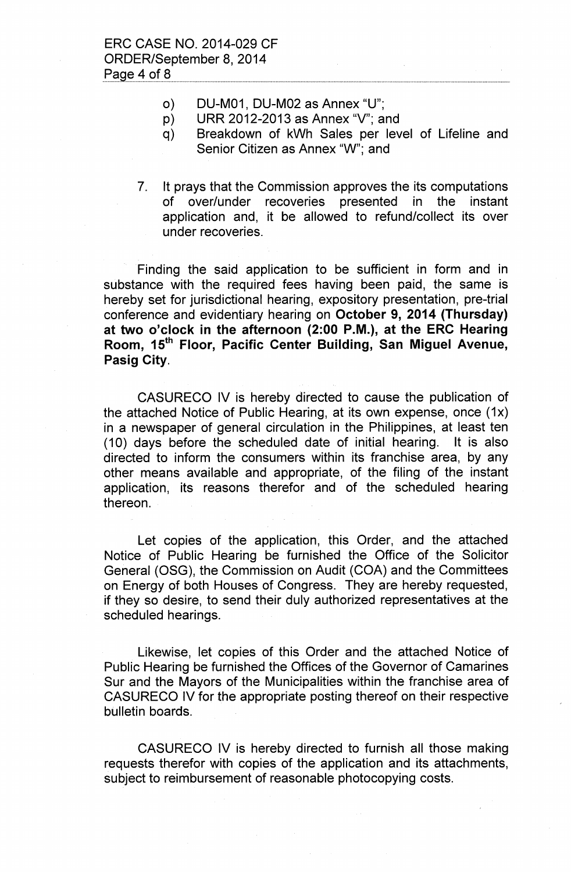- 0) DU-M01, DU-M02 as Annex "U":
- p) URR 2012-2013 as Annex "V"; and
- q) Breakdown of kWh Sales per level of Lifeline and Senior Citizen as Annex "W"; and
- 7. It prays that the Commission approves the its computations of over/under recoveries presented in the instant application and, it be allowed to refund/collect its over under recoveries.

Finding the said application to be sufficient in form and in substance with the required fees having been paid, the same is hereby set for jurisdictional hearing, expository presentation, pre-trial conference and evidentiary hearing on October 9, 2014 (Thursday) at two o'clock in the afternoon (2:00 P.M.), at the ERC Hearing Room, 15<sup>th</sup> Floor, Pacific Center Building, San Miguel Avenue, Pasig City.

CASURECO IV is hereby directed to cause the publication of the attached Notice of Public Hearing, at its own expense, once (1x) in a newspaper of general circulation in the Philippines, at least ten (10) days before the scheduled date of initial hearing. It is also directed to inform the consumers within its franchise area, by any other means available and appropriate, of the filing of the instant application, its reasons therefor and of the scheduled hearing thereon.

Let copies of the application, this Order, and the attached Notice of Public Hearing be furnished the Office of the Solicitor General (OSG), the Commission on Audit (COA) and the Committees on Energy of both Houses of Congress. They are hereby requested, if they so desire, to send their duly authorized representatives at the scheduled hearings.

Likewise, let copies of this Order and the attached Notice of Public Hearing be furnished the Offices of the Governor of Camarines Sur and the Mayors of the Municipalities within the franchise area of CASURECO IV for the appropriate posting thereof on their respective bulletin boards.

CASURECO IV is hereby directed to furnish all those making requests therefor with copies of the application and its attachments, subject to reimbursement of reasonable photocopying costs.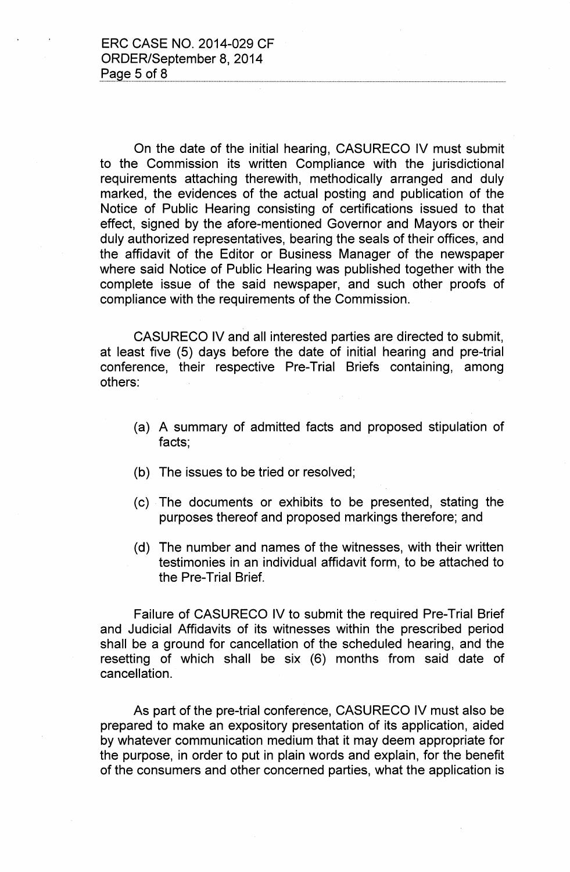On the date of the initial hearing, CASURECO IV must submit to the Commission its written Compliance with the jurisdictional requirements attaching therewith, methodically arranged and duly marked, the evidences of the actual posting and publication of the Notice of Public Hearing consisting of certifications issued to that effect, signed by the afore-mentioned Governor and Mayors or their duly authorized representatives, bearing the seals of their offices, and the affidavit of the Editor or Business Manager of the newspaper where said Notice of Public Hearing was published together with the complete issue of the said newspaper, and such other proofs of compliance with the requirements of the Commission.

CASURECO IV and all interested parties are directed to submit, at least five (5) days before the date of initial hearing and pre-trial conference, their respective Pre-Trial Briefs containing, among others:

- (a) A summary of admitted facts and proposed stipulation of facts;
- (b) The issues to be tried or resolved;
- (c) The documents or exhibits to be presented, stating the purposes thereof and proposed markings therefore; and
- (d) The number and names of the witnesses, with their written testimonies in an individual affidavit form, to be attached to the Pre-Trial Brief.

Failure of CASURECO IV to submit the required Pre-Trial Brief and Judicial Affidavits of its witnesses within the prescribed period shall be a ground for cancellation of the scheduled hearing, and the resetting of which shall be six (6) months from said date of cancellation.

As part of the pre-trial conference, CASURECO IV must also be prepared to make an expository presentation of its application, aided by whatever communication medium that it may deem appropriate for the purpose, in order to put in plain words and explain, for the benefit of the consumers and other concerned parties, what the application is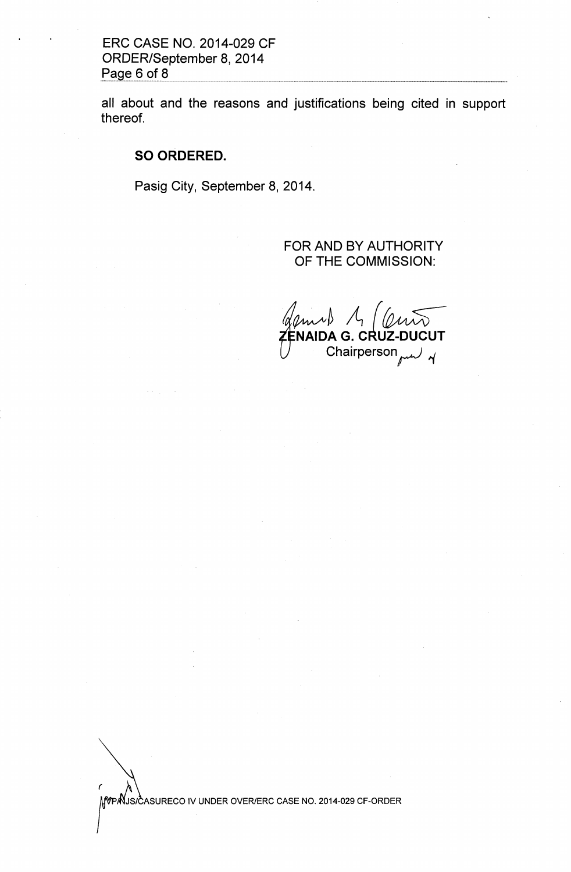**ERC CASE NO. 2014-029 CF ORDER/September 8,2014** Page 6 of 8

**all about and the reasons and justifications being cited in support thereof.**

### **SO ORDERED.**

**Pasig City, September 8,2014.**

# **FOR AND BY AUTHORITY OF THE COMMISSION:**

 $2m$ 1 A (1 **NAIDA G. CRUZ-DUCU** Chairperson<sub>med</sub>

MOPAUS/CASURECO IV UNDER OVER/ERC CASE NO. 2014-029 CF-ORDER

 $\epsilon$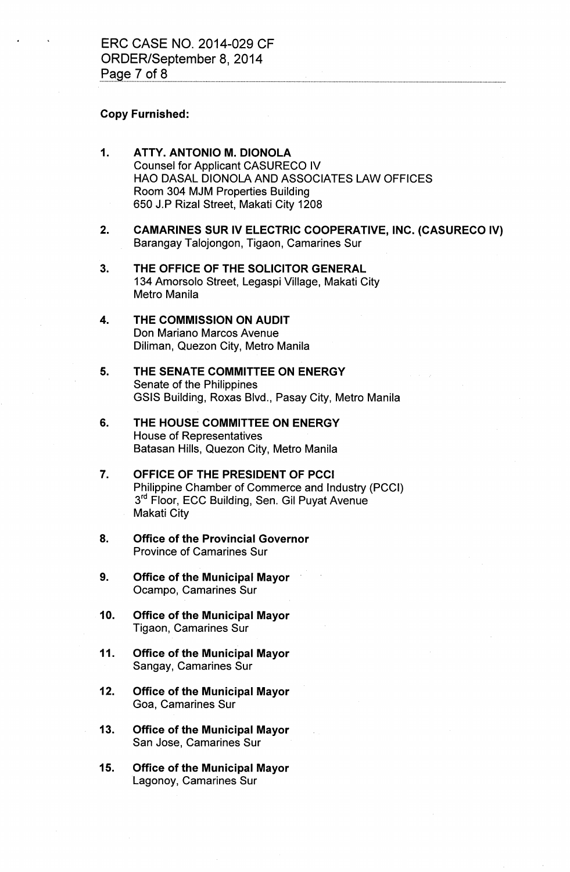#### Copy Furnished:

- 1. ATTY. ANTONIO M. DIONOLA Counsel for Applicant CASURECO IV HAO DASAL DIONOLA AND ASSOCIATES LAW OFFICES Room 304 MJM Properties Building 650 J.P Rizal Street, Makati City 1208
- 2. CAMARINES SUR IV ELECTRIC COOPERATIVE, INC. (CASURECO IV) Barangay Talojongon, Tigaon, Camarines Sur
- 3. THE OFFICE OF THE SOLICITOR GENERAL 134 Amorsolo Street, Legaspi Village, Makati City Metro Manila
- 4. THE COMMISSION ON AUDIT Don Mariano Marcos Avenue Diliman, Quezon City, Metro Manila
- 5. THE SENATE COMMITTEE ON ENERGY Senate of the Philippines GSIS Building, Roxas Blvd., Pasay City, Metro Manila
- 6. THE HOUSE COMMITTEE ON ENERGY House of Representatives Batasan Hills, Quezon City, Metro Manila
- 7. OFFICE OF THE PRESIDENT OF PCCI Philippine Chamber of Commerce and Industry (PCCI) 3<sup>rd</sup> Floor, ECC Building, Sen. Gil Puyat Avenue Makati City
- 8. Office of the Provincial Governor Province of Camarines Sur
- 9. Office of the Municipal Mayor Ocampo, Camarines Sur
- 10. Office of the Municipal Mayor Tigaon, Camarines Sur
- 11. Office of the Municipal Mayor Sangay, Camarines Sur
- 12. Office of the Municipal Mayor Goa, Camarines Sur
- 13. Office of the Municipal Mayor San Jose, Camarines Sur
- 15. Office of the Municipal Mayor Lagonoy, Camarines Sur